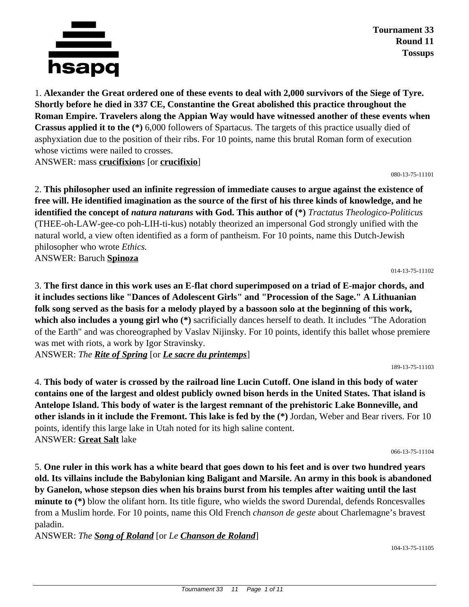

**Tournament 33 Round 11 Tossups**

1. **Alexander the Great ordered one of these events to deal with 2,000 survivors of the Siege of Tyre. Shortly before he died in 337 CE, Constantine the Great abolished this practice throughout the Roman Empire. Travelers along the Appian Way would have witnessed another of these events when Crassus applied it to the (\*)** 6,000 followers of Spartacus. The targets of this practice usually died of asphyxiation due to the position of their ribs. For 10 points, name this brutal Roman form of execution whose victims were nailed to crosses.

ANSWER: mass **crucifixion**s [or **crucifixio**]

080-13-75-11101

2. **This philosopher used an infinite regression of immediate causes to argue against the existence of free will. He identified imagination as the source of the first of his three kinds of knowledge, and he identified the concept of** *natura naturans* **with God. This author of (\*)** *Tractatus Theologico-Politicus* (THEE-oh-LAW-gee-co poh-LIH-ti-kus) notably theorized an impersonal God strongly unified with the natural world, a view often identified as a form of pantheism. For 10 points, name this Dutch-Jewish philosopher who wrote *Ethics.*

ANSWER: Baruch **Spinoza**

014-13-75-11102

3. **The first dance in this work uses an E-flat chord superimposed on a triad of E-major chords, and it includes sections like "Dances of Adolescent Girls" and "Procession of the Sage." A Lithuanian folk song served as the basis for a melody played by a bassoon solo at the beginning of this work, which also includes a young girl who (\*)** sacrificially dances herself to death. It includes "The Adoration of the Earth" and was choreographed by Vaslav Nijinsky. For 10 points, identify this ballet whose premiere was met with riots, a work by Igor Stravinsky.

ANSWER: *The Rite of Spring* [or *Le sacre du printemps*]

189-13-75-11103

4. **This body of water is crossed by the railroad line Lucin Cutoff. One island in this body of water contains one of the largest and oldest publicly owned bison herds in the United States. That island is Antelope Island. This body of water is the largest remnant of the prehistoric Lake Bonneville, and other islands in it include the Fremont. This lake is fed by the (\*)** Jordan, Weber and Bear rivers. For 10 points, identify this large lake in Utah noted for its high saline content. ANSWER: **Great Salt** lake

066-13-75-11104

5. **One ruler in this work has a white beard that goes down to his feet and is over two hundred years old. Its villains include the Babylonian king Baligant and Marsile. An army in this book is abandoned by Ganelon, whose stepson dies when his brains burst from his temples after waiting until the last minute to (\*)** blow the olifant horn. Its title figure, who wields the sword Durendal, defends Roncesvalles from a Muslim horde. For 10 points, name this Old French *chanson de geste* about Charlemagne's bravest paladin.

ANSWER: *The Song of Roland* [or *Le Chanson de Roland*]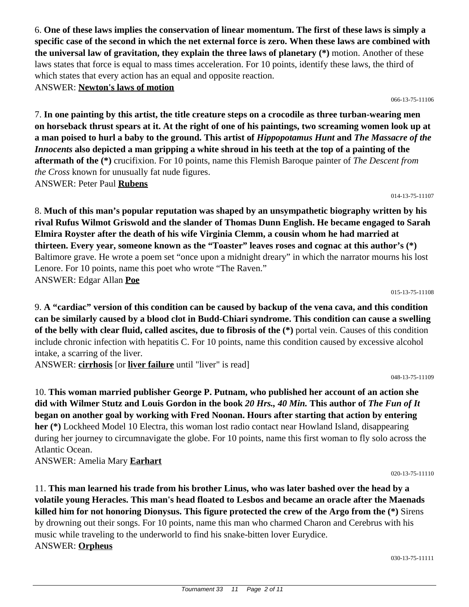6. **One of these laws implies the conservation of linear momentum. The first of these laws is simply a specific case of the second in which the net external force is zero. When these laws are combined with the universal law of gravitation, they explain the three laws of planetary (\*)** motion. Another of these laws states that force is equal to mass times acceleration. For 10 points, identify these laws, the third of which states that every action has an equal and opposite reaction. ANSWER: **Newton's laws of motion**

066-13-75-11106

7. **In one painting by this artist, the title creature steps on a crocodile as three turban-wearing men on horseback thrust spears at it. At the right of one of his paintings, two screaming women look up at a man poised to hurl a baby to the ground. This artist of** *Hippopotamus Hunt* **and** *The Massacre of the Innocents* **also depicted a man gripping a white shroud in his teeth at the top of a painting of the aftermath of the (\*)** crucifixion. For 10 points, name this Flemish Baroque painter of *The Descent from the Cross* known for unusually fat nude figures. ANSWER: Peter Paul **Rubens**

014-13-75-11107

8. **Much of this man's popular reputation was shaped by an unsympathetic biography written by his rival Rufus Wilmot Griswold and the slander of Thomas Dunn English. He became engaged to Sarah Elmira Royster after the death of his wife Virginia Clemm, a cousin whom he had married at thirteen. Every year, someone known as the "Toaster" leaves roses and cognac at this author's (\*)** Baltimore grave. He wrote a poem set "once upon a midnight dreary" in which the narrator mourns his lost Lenore. For 10 points, name this poet who wrote "The Raven." ANSWER: Edgar Allan **Poe**

015-13-75-11108

9. **A "cardiac" version of this condition can be caused by backup of the vena cava, and this condition can be similarly caused by a blood clot in Budd-Chiari syndrome. This condition can cause a swelling of the belly with clear fluid, called ascites, due to fibrosis of the (\*)** portal vein. Causes of this condition include chronic infection with hepatitis C. For 10 points, name this condition caused by excessive alcohol intake, a scarring of the liver.

ANSWER: **cirrhosis** [or **liver failure** until "liver" is read]

048-13-75-11109

10. **This woman married publisher George P. Putnam, who published her account of an action she did with Wilmer Stutz and Louis Gordon in the book** *20 Hrs., 40 Min.* **This author of** *The Fun of It* **began on another goal by working with Fred Noonan. Hours after starting that action by entering her (\*)** Lockheed Model 10 Electra, this woman lost radio contact near Howland Island, disappearing during her journey to circumnavigate the globe. For 10 points, name this first woman to fly solo across the Atlantic Ocean.

ANSWER: Amelia Mary **Earhart**

11. **This man learned his trade from his brother Linus, who was later bashed over the head by a volatile young Heracles. This man's head floated to Lesbos and became an oracle after the Maenads killed him for not honoring Dionysus. This figure protected the crew of the Argo from the (\*)** Sirens by drowning out their songs. For 10 points, name this man who charmed Charon and Cerebrus with his music while traveling to the underworld to find his snake-bitten lover Eurydice. ANSWER: **Orpheus**

030-13-75-11111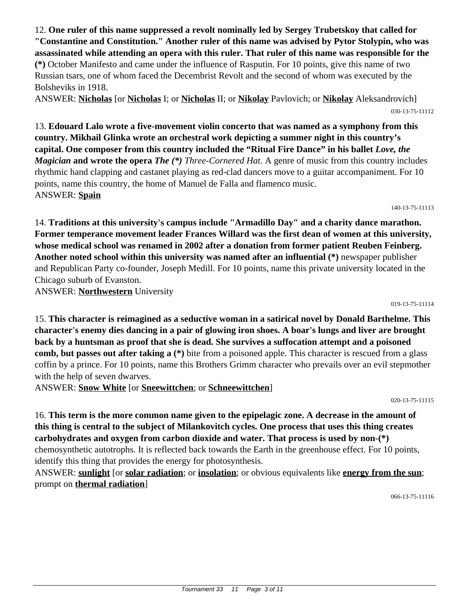12. **One ruler of this name suppressed a revolt nominally led by Sergey Trubetskoy that called for "Constantine and Constitution." Another ruler of this name was advised by Pytor Stolypin, who was assassinated while attending an opera with this ruler. That ruler of this name was responsible for the (\*)** October Manifesto and came under the influence of Rasputin. For 10 points, give this name of two Russian tsars, one of whom faced the Decembrist Revolt and the second of whom was executed by the Bolsheviks in 1918.

ANSWER: **Nicholas** [or **Nicholas** I; or **Nicholas** II; or **Nikolay** Pavlovich; or **Nikolay** Aleksandrovich] 030-13-75-11112

13. **Edouard Lalo wrote a five-movement violin concerto that was named as a symphony from this country. Mikhail Glinka wrote an orchestral work depicting a summer night in this country's capital. One composer from this country included the "Ritual Fire Dance" in his ballet** *Love, the Magician* **and wrote the opera** *The (\*) Three-Cornered Hat*. A genre of music from this country includes rhythmic hand clapping and castanet playing as red-clad dancers move to a guitar accompaniment. For 10 points, name this country, the home of Manuel de Falla and flamenco music. ANSWER: **Spain**

140-13-75-11113

14. **Traditions at this university's campus include "Armadillo Day" and a charity dance marathon. Former temperance movement leader Frances Willard was the first dean of women at this university, whose medical school was renamed in 2002 after a donation from former patient Reuben Feinberg. Another noted school within this university was named after an influential (\*)** newspaper publisher and Republican Party co-founder, Joseph Medill. For 10 points, name this private university located in the Chicago suburb of Evanston.

ANSWER: **Northwestern** University

019-13-75-11114

15. **This character is reimagined as a seductive woman in a satirical novel by Donald Barthelme. This character's enemy dies dancing in a pair of glowing iron shoes. A boar's lungs and liver are brought back by a huntsman as proof that she is dead. She survives a suffocation attempt and a poisoned comb, but passes out after taking a (\*)** bite from a poisoned apple. This character is rescued from a glass coffin by a prince. For 10 points, name this Brothers Grimm character who prevails over an evil stepmother with the help of seven dwarves.

ANSWER: **Snow White** [or **Sneewittchen**; or **Schneewittchen**]

020-13-75-11115

16. **This term is the more common name given to the epipelagic zone. A decrease in the amount of this thing is central to the subject of Milankovitch cycles. One process that uses this thing creates carbohydrates and oxygen from carbon dioxide and water. That process is used by non-(\*)** chemosynthetic autotrophs. It is reflected back towards the Earth in the greenhouse effect. For 10 points, identify this thing that provides the energy for photosynthesis.

ANSWER: **sunlight** [or **solar radiation**; or **insolation**; or obvious equivalents like **energy from the sun**; prompt on **thermal radiation**]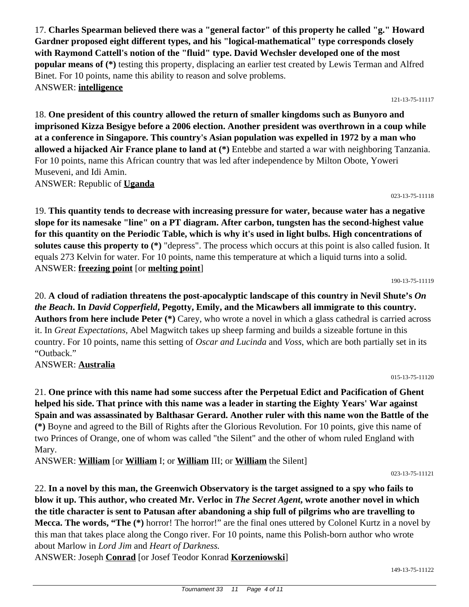17. **Charles Spearman believed there was a "general factor" of this property he called "g." Howard Gardner proposed eight different types, and his "logical-mathematical" type corresponds closely with Raymond Cattell's notion of the "fluid" type. David Wechsler developed one of the most popular means of (\*)** testing this property, displacing an earlier test created by Lewis Terman and Alfred Binet. For 10 points, name this ability to reason and solve problems. ANSWER: **intelligence**

121-13-75-11117

18. **One president of this country allowed the return of smaller kingdoms such as Bunyoro and imprisoned Kizza Besigye before a 2006 election. Another president was overthrown in a coup while at a conference in Singapore. This country's Asian population was expelled in 1972 by a man who allowed a hijacked Air France plane to land at (\*)** Entebbe and started a war with neighboring Tanzania. For 10 points, name this African country that was led after independence by Milton Obote, Yoweri Museveni, and Idi Amin. ANSWER: Republic of **Uganda**

023-13-75-11118

19. **This quantity tends to decrease with increasing pressure for water, because water has a negative slope for its namesake "line" on a PT diagram. After carbon, tungsten has the second-highest value for this quantity on the Periodic Table, which is why it's used in light bulbs. High concentrations of solutes cause this property to (\*)** "depress". The process which occurs at this point is also called fusion. It equals 273 Kelvin for water. For 10 points, name this temperature at which a liquid turns into a solid. ANSWER: **freezing point** [or **melting point**]

190-13-75-11119

015-13-75-11120

20. **A cloud of radiation threatens the post-apocalyptic landscape of this country in Nevil Shute's** *On the Beach***. In** *David Copperfield***, Pegotty, Emily, and the Micawbers all immigrate to this country. Authors from here include Peter (\*)** Carey, who wrote a novel in which a glass cathedral is carried across it. In *Great Expectations,* Abel Magwitch takes up sheep farming and builds a sizeable fortune in this country. For 10 points, name this setting of *Oscar and Lucinda* and *Voss*, which are both partially set in its "Outback."

ANSWER: **Australia**

21. **One prince with this name had some success after the Perpetual Edict and Pacification of Ghent helped his side. That prince with this name was a leader in starting the Eighty Years' War against Spain and was assassinated by Balthasar Gerard. Another ruler with this name won the Battle of the (\*)** Boyne and agreed to the Bill of Rights after the Glorious Revolution. For 10 points, give this name of two Princes of Orange, one of whom was called "the Silent" and the other of whom ruled England with Mary.

ANSWER: **William** [or **William** I; or **William** III; or **William** the Silent]

023-13-75-11121

22. **In a novel by this man, the Greenwich Observatory is the target assigned to a spy who fails to blow it up. This author, who created Mr. Verloc in** *The Secret Agent***, wrote another novel in which the title character is sent to Patusan after abandoning a ship full of pilgrims who are travelling to Mecca. The words, "The (\*)** horror! The horror!" are the final ones uttered by Colonel Kurtz in a novel by this man that takes place along the Congo river. For 10 points, name this Polish-born author who wrote about Marlow in *Lord Jim* and *Heart of Darkness.*

ANSWER: Joseph **Conrad** [or Josef Teodor Konrad **Korzeniowski**]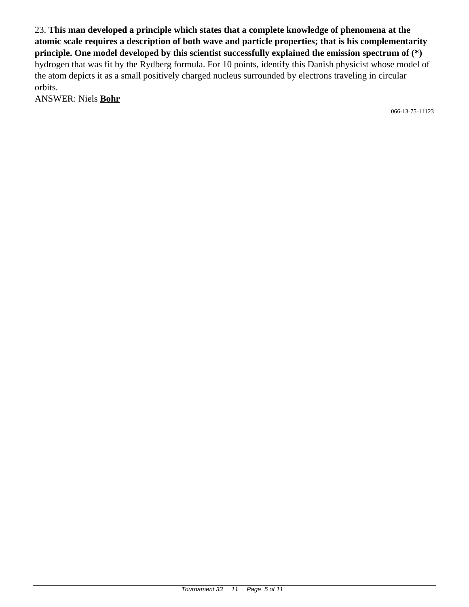23. **This man developed a principle which states that a complete knowledge of phenomena at the atomic scale requires a description of both wave and particle properties; that is his complementarity principle. One model developed by this scientist successfully explained the emission spectrum of (\*)** hydrogen that was fit by the Rydberg formula. For 10 points, identify this Danish physicist whose model of the atom depicts it as a small positively charged nucleus surrounded by electrons traveling in circular orbits.

ANSWER: Niels **Bohr**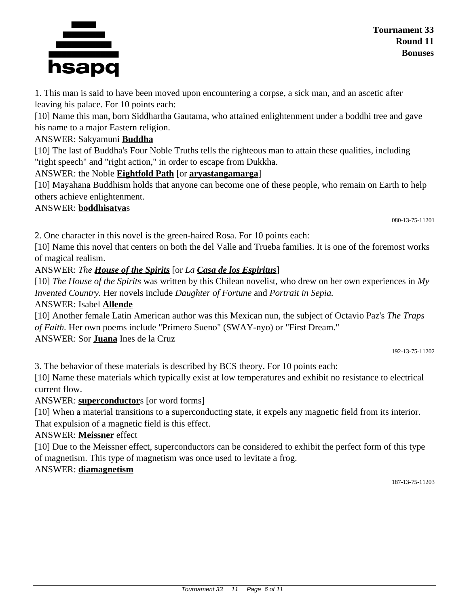#### Tournament 33 11 Page 6 of 11

1. This man is said to have been moved upon encountering a corpse, a sick man, and an ascetic after leaving his palace. For 10 points each:

[10] Name this man, born Siddhartha Gautama, who attained enlightenment under a boddhi tree and gave his name to a major Eastern religion.

### ANSWER: Sakyamuni **Buddha**

[10] The last of Buddha's Four Noble Truths tells the righteous man to attain these qualities, including "right speech" and "right action," in order to escape from Dukkha.

### ANSWER: the Noble **Eightfold Path** [or **aryastangamarga**]

[10] Mayahana Buddhism holds that anyone can become one of these people, who remain on Earth to help others achieve enlightenment.

### ANSWER: **boddhisatva**s

080-13-75-11201

2. One character in this novel is the green-haired Rosa. For 10 points each:

[10] Name this novel that centers on both the del Valle and Trueba families. It is one of the foremost works of magical realism.

ANSWER: *The House of the Spirits* [or *La Casa de los Espiritus*]

[10] *The House of the Spirits* was written by this Chilean novelist, who drew on her own experiences in *My Invented Country.* Her novels include *Daughter of Fortune* and *Portrait in Sepia.*

## ANSWER: Isabel **Allende**

[10] Another female Latin American author was this Mexican nun, the subject of Octavio Paz's *The Traps of Faith.* Her own poems include "Primero Sueno" (SWAY-nyo) or "First Dream."

ANSWER: Sor **Juana** Ines de la Cruz

192-13-75-11202

3. The behavior of these materials is described by BCS theory. For 10 points each:

[10] Name these materials which typically exist at low temperatures and exhibit no resistance to electrical current flow.

ANSWER: **superconductor**s [or word forms]

[10] When a material transitions to a superconducting state, it expels any magnetic field from its interior. That expulsion of a magnetic field is this effect.

## ANSWER: **Meissner** effect

[10] Due to the Meissner effect, superconductors can be considered to exhibit the perfect form of this type of magnetism. This type of magnetism was once used to levitate a frog.

## ANSWER: **diamagnetism**

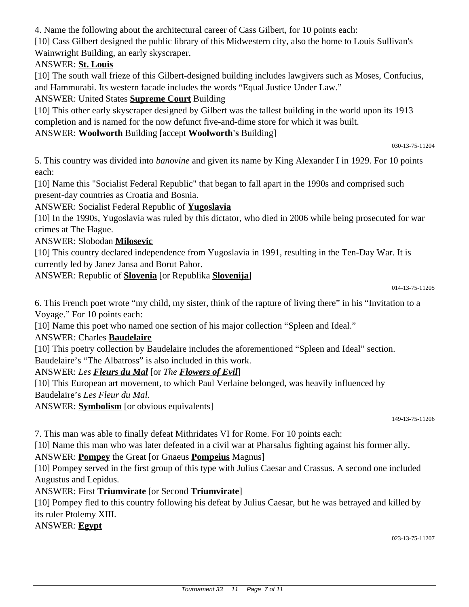4. Name the following about the architectural career of Cass Gilbert, for 10 points each:

[10] Cass Gilbert designed the public library of this Midwestern city, also the home to Louis Sullivan's Wainwright Building, an early skyscraper.

### ANSWER: **St. Louis**

[10] The south wall frieze of this Gilbert-designed building includes lawgivers such as Moses, Confucius, and Hammurabi. Its western facade includes the words "Equal Justice Under Law."

ANSWER: United States **Supreme Court** Building

[10] This other early skyscraper designed by Gilbert was the tallest building in the world upon its 1913 completion and is named for the now defunct five-and-dime store for which it was built.

### ANSWER: **Woolworth** Building [accept **Woolworth's** Building]

030-13-75-11204

5. This country was divided into *banovine* and given its name by King Alexander I in 1929. For 10 points each:

[10] Name this "Socialist Federal Republic" that began to fall apart in the 1990s and comprised such present-day countries as Croatia and Bosnia.

ANSWER: Socialist Federal Republic of **Yugoslavia**

[10] In the 1990s, Yugoslavia was ruled by this dictator, who died in 2006 while being prosecuted for war crimes at The Hague.

ANSWER: Slobodan **Milosevic**

[10] This country declared independence from Yugoslavia in 1991, resulting in the Ten-Day War. It is currently led by Janez Jansa and Borut Pahor.

ANSWER: Republic of **Slovenia** [or Republika **Slovenija**]

6. This French poet wrote "my child, my sister, think of the rapture of living there" in his "Invitation to a Voyage." For 10 points each:

[10] Name this poet who named one section of his major collection "Spleen and Ideal."

### ANSWER: Charles **Baudelaire**

[10] This poetry collection by Baudelaire includes the aforementioned "Spleen and Ideal" section. Baudelaire's "The Albatross" is also included in this work.

### ANSWER: *Les Fleurs du Mal* [or *The Flowers of Evil*]

[10] This European art movement, to which Paul Verlaine belonged, was heavily influenced by Baudelaire's *Les Fleur du Mal.*

ANSWER: **Symbolism** [or obvious equivalents]

149-13-75-11206

7. This man was able to finally defeat Mithridates VI for Rome. For 10 points each:

[10] Name this man who was later defeated in a civil war at Pharsalus fighting against his former ally.

ANSWER: **Pompey** the Great [or Gnaeus **Pompeius** Magnus]

[10] Pompey served in the first group of this type with Julius Caesar and Crassus. A second one included Augustus and Lepidus.

ANSWER: First **Triumvirate** [or Second **Triumvirate**]

[10] Pompey fled to this country following his defeat by Julius Caesar, but he was betrayed and killed by its ruler Ptolemy XIII.

ANSWER: **Egypt**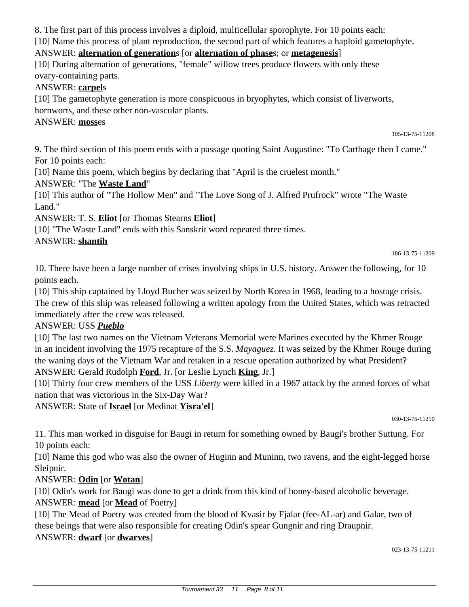8. The first part of this process involves a diploid, multicellular sporophyte. For 10 points each:

[10] Name this process of plant reproduction, the second part of which features a haploid gametophyte.

## ANSWER: **alternation of generation**s [or **alternation of phase**s; or **metagenesis**]

[10] During alternation of generations, "female" willow trees produce flowers with only these ovary-containing parts.

## ANSWER: **carpel**s

[10] The gametophyte generation is more conspicuous in bryophytes, which consist of liverworts, hornworts, and these other non-vascular plants.

# ANSWER: **moss**es

105-13-75-11208

9. The third section of this poem ends with a passage quoting Saint Augustine: "To Carthage then I came." For 10 points each:

[10] Name this poem, which begins by declaring that "April is the cruelest month."

ANSWER: "The **Waste Land**"

[10] This author of "The Hollow Men" and "The Love Song of J. Alfred Prufrock" wrote "The Waste Land."

ANSWER: T. S. **Eliot** [or Thomas Stearns **Eliot**]

[10] "The Waste Land" ends with this Sanskrit word repeated three times.

## ANSWER: **shantih**

186-13-75-11209

10. There have been a large number of crises involving ships in U.S. history. Answer the following, for 10 points each.

[10] This ship captained by Lloyd Bucher was seized by North Korea in 1968, leading to a hostage crisis. The crew of this ship was released following a written apology from the United States, which was retracted immediately after the crew was released.

ANSWER: USS *Pueblo*

[10] The last two names on the Vietnam Veterans Memorial were Marines executed by the Khmer Rouge in an incident involving the 1975 recapture of the S.S. *Mayaguez*. It was seized by the Khmer Rouge during the waning days of the Vietnam War and retaken in a rescue operation authorized by what President? ANSWER: Gerald Rudolph **Ford**, Jr. [or Leslie Lynch **King**, Jr.]

[10] Thirty four crew members of the USS *Liberty* were killed in a 1967 attack by the armed forces of what nation that was victorious in the Six-Day War?

ANSWER: State of **Israel** [or Medinat **Yisra'el**]

030-13-75-11210

11. This man worked in disguise for Baugi in return for something owned by Baugi's brother Suttung. For 10 points each:

[10] Name this god who was also the owner of Huginn and Muninn, two ravens, and the eight-legged horse Sleipnir.

## ANSWER: **Odin** [or **Wotan**]

[10] Odin's work for Baugi was done to get a drink from this kind of honey-based alcoholic beverage. ANSWER: **mead** [or **Mead** of Poetry]

[10] The Mead of Poetry was created from the blood of Kvasir by Fjalar (fee-AL-ar) and Galar, two of these beings that were also responsible for creating Odin's spear Gungnir and ring Draupnir. ANSWER: **dwarf** [or **dwarves**]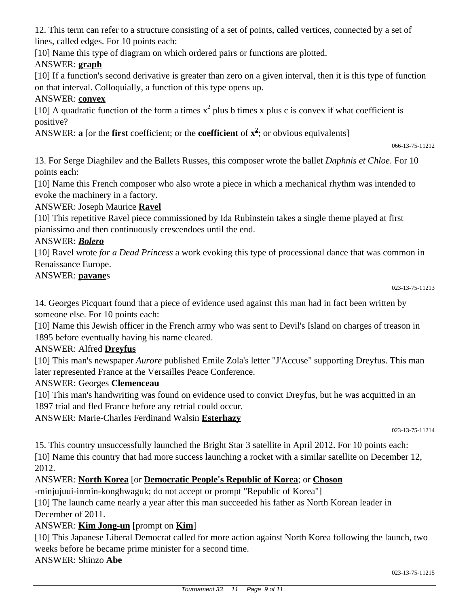12. This term can refer to a structure consisting of a set of points, called vertices, connected by a set of lines, called edges. For 10 points each:

[10] Name this type of diagram on which ordered pairs or functions are plotted.

### ANSWER: **graph**

[10] If a function's second derivative is greater than zero on a given interval, then it is this type of function on that interval. Colloquially, a function of this type opens up.

### ANSWER: **convex**

[10] A quadratic function of the form a times  $x^2$  plus b times x plus c is convex if what coefficient is positive?

ANSWER: **a** [or the **first** coefficient; or the **coefficient** of **x 2** ; or obvious equivalents]

066-13-75-11212

13. For Serge Diaghilev and the Ballets Russes, this composer wrote the ballet *Daphnis et Chloe*. For 10 points each:

[10] Name this French composer who also wrote a piece in which a mechanical rhythm was intended to evoke the machinery in a factory.

ANSWER: Joseph Maurice **Ravel**

[10] This repetitive Ravel piece commissioned by Ida Rubinstein takes a single theme played at first pianissimo and then continuously crescendoes until the end.

#### ANSWER: *Bolero*

[10] Ravel wrote *for a Dead Princess* a work evoking this type of processional dance that was common in Renaissance Europe.

#### ANSWER: **pavane**s

14. Georges Picquart found that a piece of evidence used against this man had in fact been written by someone else. For 10 points each:

[10] Name this Jewish officer in the French army who was sent to Devil's Island on charges of treason in 1895 before eventually having his name cleared.

#### ANSWER: Alfred **Dreyfus**

[10] This man's newspaper *Aurore* published Emile Zola's letter "J'Accuse" supporting Dreyfus. This man later represented France at the Versailles Peace Conference.

#### ANSWER: Georges **Clemenceau**

[10] This man's handwriting was found on evidence used to convict Dreyfus, but he was acquitted in an 1897 trial and fled France before any retrial could occur.

ANSWER: Marie-Charles Ferdinand Walsin **Esterhazy**

023-13-75-11214

15. This country unsuccessfully launched the Bright Star 3 satellite in April 2012. For 10 points each: [10] Name this country that had more success launching a rocket with a similar satellite on December 12, 2012.

#### ANSWER: **North Korea** [or **Democratic People's Republic of Korea**; or **Choson**

-minjujuui-inmin-konghwaguk; do not accept or prompt "Republic of Korea"]

[10] The launch came nearly a year after this man succeeded his father as North Korean leader in December of 2011.

#### ANSWER: **Kim Jong-un** [prompt on **Kim**]

[10] This Japanese Liberal Democrat called for more action against North Korea following the launch, two weeks before he became prime minister for a second time.

ANSWER: Shinzo **Abe**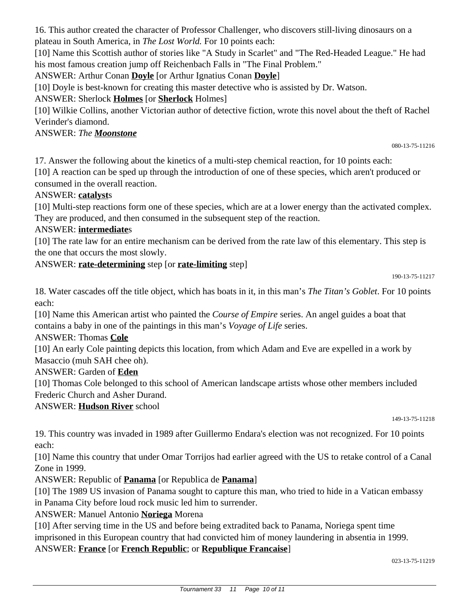16. This author created the character of Professor Challenger, who discovers still-living dinosaurs on a plateau in South America, in *The Lost World.* For 10 points each:

[10] Name this Scottish author of stories like "A Study in Scarlet" and "The Red-Headed League." He had his most famous creation jump off Reichenbach Falls in "The Final Problem."

ANSWER: Arthur Conan **Doyle** [or Arthur Ignatius Conan **Doyle**]

[10] Doyle is best-known for creating this master detective who is assisted by Dr. Watson.

ANSWER: Sherlock **Holmes** [or **Sherlock** Holmes]

[10] Wilkie Collins, another Victorian author of detective fiction, wrote this novel about the theft of Rachel Verinder's diamond.

## ANSWER: *The Moonstone*

080-13-75-11216

17. Answer the following about the kinetics of a multi-step chemical reaction, for 10 points each:

[10] A reaction can be sped up through the introduction of one of these species, which aren't produced or consumed in the overall reaction.

## ANSWER: **catalyst**s

[10] Multi-step reactions form one of these species, which are at a lower energy than the activated complex. They are produced, and then consumed in the subsequent step of the reaction.

## ANSWER: **intermediate**s

[10] The rate law for an entire mechanism can be derived from the rate law of this elementary. This step is the one that occurs the most slowly.

## ANSWER: **rate-determining** step [or **rate-limiting** step]

190-13-75-11217

18. Water cascades off the title object, which has boats in it, in this man's *The Titan's Goblet*. For 10 points each:

[10] Name this American artist who painted the *Course of Empire* series. An angel guides a boat that contains a baby in one of the paintings in this man's *Voyage of Life* series.

### ANSWER: Thomas **Cole**

[10] An early Cole painting depicts this location, from which Adam and Eve are expelled in a work by Masaccio (muh SAH chee oh).

### ANSWER: Garden of **Eden**

[10] Thomas Cole belonged to this school of American landscape artists whose other members included Frederic Church and Asher Durand.

### ANSWER: **Hudson River** school

149-13-75-11218

19. This country was invaded in 1989 after Guillermo Endara's election was not recognized. For 10 points each:

[10] Name this country that under Omar Torrijos had earlier agreed with the US to retake control of a Canal Zone in 1999.

ANSWER: Republic of **Panama** [or Republica de **Panama**]

[10] The 1989 US invasion of Panama sought to capture this man, who tried to hide in a Vatican embassy in Panama City before loud rock music led him to surrender.

ANSWER: Manuel Antonio **Noriega** Morena

[10] After serving time in the US and before being extradited back to Panama, Noriega spent time imprisoned in this European country that had convicted him of money laundering in absentia in 1999.

### ANSWER: **France** [or **French Republic**; or **Republique Francaise**]